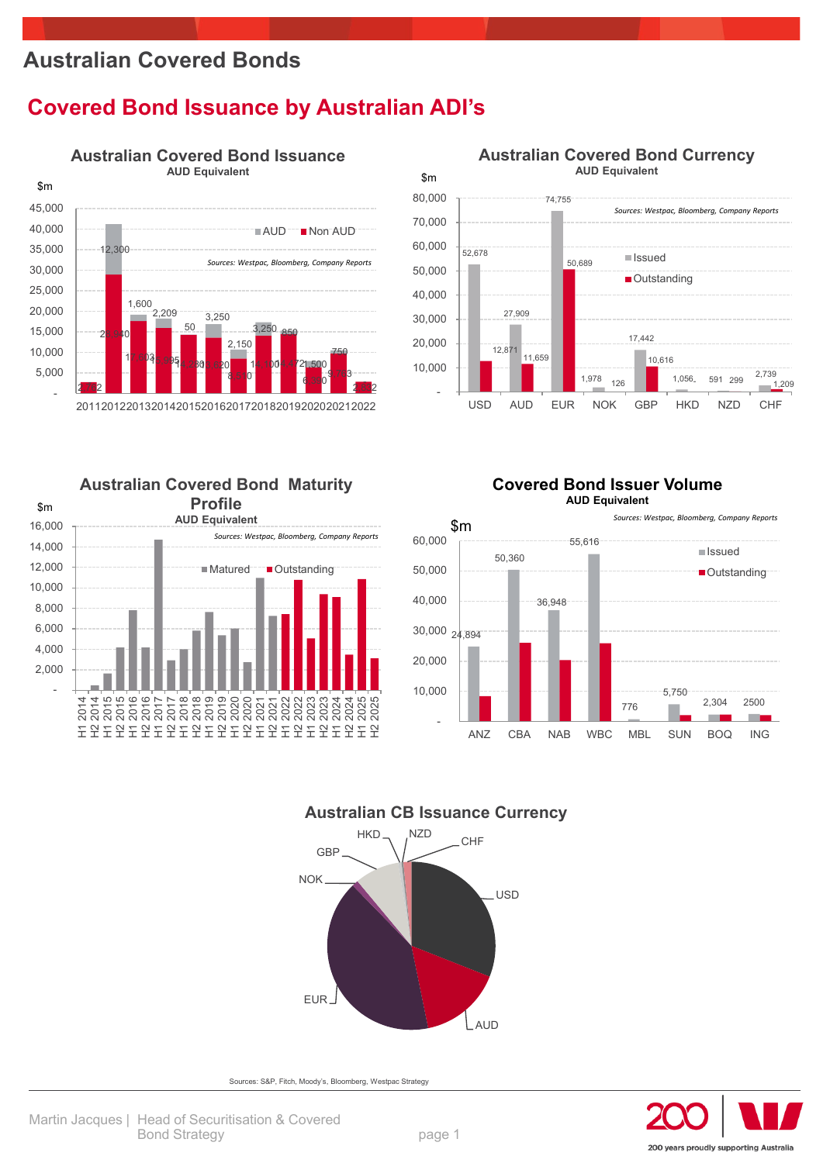### **Australian Covered Bonds**

### **Covered Bond Issuance by Australian ADI's**



**Australian Covered Bond Maturity Profile AUD Equivalent**



## **Australian Covered Bond Currency**











Sources: S&P, Fitch, Moody's, Bloomberg, Westpac Strategy

지 2022<br>2021 2022<br>도 도 도 도 도<br>도 도 도 도 도

**■Matured Cutstanding** 

H2 2023 H1 2024 H2 2024



H1 2014 H2 2014 H1 2015 H2 2015 H1 2016 H2 2016 H1 2017 H2 2017 H1 2018 H2 2018 H1 2019 H2 2019 H1 2020

 - 2,000 4,000 6,000 8,000 10,000 12,000 14,000 16,000

\$m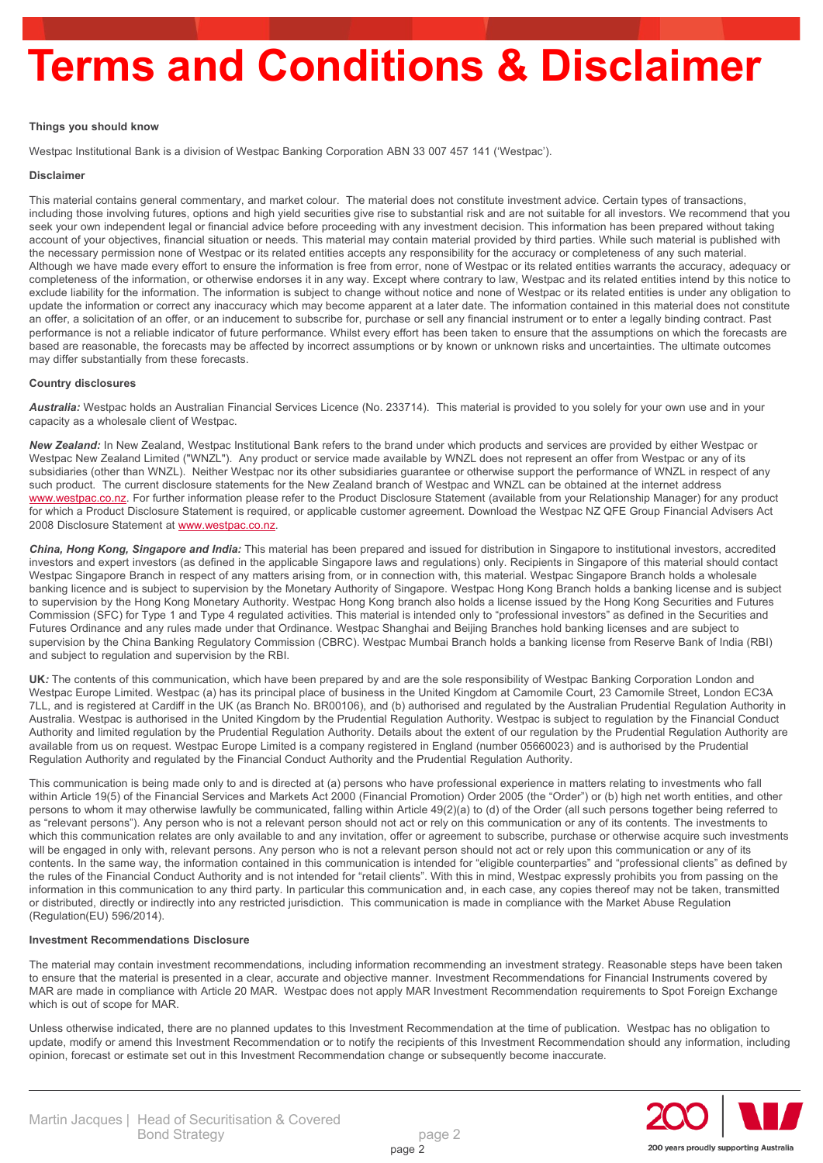## **Terms and Conditions & Disclaimer**

#### **Things you should know**

Westpac Institutional Bank is a division of Westpac Banking Corporation ABN 33 007 457 141 ('Westpac').

#### **Disclaimer**

This material contains general commentary, and market colour. The material does not constitute investment advice. Certain types of transactions, including those involving futures, options and high yield securities give rise to substantial risk and are not suitable for all investors. We recommend that you seek your own independent legal or financial advice before proceeding with any investment decision. This information has been prepared without taking account of your objectives, financial situation or needs. This material may contain material provided by third parties. While such material is published with the necessary permission none of Westpac or its related entities accepts any responsibility for the accuracy or completeness of any such material. Although we have made every effort to ensure the information is free from error, none of Westpac or its related entities warrants the accuracy, adequacy or completeness of the information, or otherwise endorses it in any way. Except where contrary to law, Westpac and its related entities intend by this notice to exclude liability for the information. The information is subject to change without notice and none of Westpac or its related entities is under any obligation to update the information or correct any inaccuracy which may become apparent at a later date. The information contained in this material does not constitute an offer, a solicitation of an offer, or an inducement to subscribe for, purchase or sell any financial instrument or to enter a legally binding contract. Past performance is not a reliable indicator of future performance. Whilst every effort has been taken to ensure that the assumptions on which the forecasts are based are reasonable, the forecasts may be affected by incorrect assumptions or by known or unknown risks and uncertainties. The ultimate outcomes may differ substantially from these forecasts.

#### **Country disclosures**

*Australia:* Westpac holds an Australian Financial Services Licence (No. 233714). This material is provided to you solely for your own use and in your capacity as a wholesale client of Westpac.

*New Zealand:* In New Zealand, Westpac Institutional Bank refers to the brand under which products and services are provided by either Westpac or Westpac New Zealand Limited ("WNZL"). Any product or service made available by WNZL does not represent an offer from Westpac or any of its subsidiaries (other than WNZL). Neither Westpac nor its other subsidiaries guarantee or otherwise support the performance of WNZL in respect of any such product. The current disclosure statements for the New Zealand branch of Westpac and WNZL can be obtained at the internet address [www.westpac.co.nz](http://www.westpac.co.nz/). For further information please refer to the Product Disclosure Statement (available from your Relationship Manager) for any product for which a Product Disclosure Statement is required, or applicable customer agreement. Download the Westpac NZ QFE Group Financial Advisers Act 2008 Disclosure Statement at [www.westpac.co.nz](http://www.westpac.co.nz/).

*China, Hong Kong, Singapore and India:* This material has been prepared and issued for distribution in Singapore to institutional investors, accredited investors and expert investors (as defined in the applicable Singapore laws and regulations) only. Recipients in Singapore of this material should contact Westpac Singapore Branch in respect of any matters arising from, or in connection with, this material. Westpac Singapore Branch holds a wholesale banking licence and is subject to supervision by the Monetary Authority of Singapore. Westpac Hong Kong Branch holds a banking license and is subject to supervision by the Hong Kong Monetary Authority. Westpac Hong Kong branch also holds a license issued by the Hong Kong Securities and Futures Commission (SFC) for Type 1 and Type 4 regulated activities. This material is intended only to "professional investors" as defined in the Securities and Futures Ordinance and any rules made under that Ordinance. Westpac Shanghai and Beijing Branches hold banking licenses and are subject to supervision by the China Banking Regulatory Commission (CBRC). Westpac Mumbai Branch holds a banking license from Reserve Bank of India (RBI) and subject to regulation and supervision by the RBI.

**UK***:* The contents of this communication, which have been prepared by and are the sole responsibility of Westpac Banking Corporation London and Westpac Europe Limited. Westpac (a) has its principal place of business in the United Kingdom at Camomile Court, 23 Camomile Street, London EC3A 7LL, and is registered at Cardiff in the UK (as Branch No. BR00106), and (b) authorised and regulated by the Australian Prudential Regulation Authority in Australia. Westpac is authorised in the United Kingdom by the Prudential Regulation Authority. Westpac is subject to regulation by the Financial Conduct Authority and limited regulation by the Prudential Regulation Authority. Details about the extent of our regulation by the Prudential Regulation Authority are available from us on request. Westpac Europe Limited is a company registered in England (number 05660023) and is authorised by the Prudential Regulation Authority and regulated by the Financial Conduct Authority and the Prudential Regulation Authority.

This communication is being made only to and is directed at (a) persons who have professional experience in matters relating to investments who fall within Article 19(5) of the Financial Services and Markets Act 2000 (Financial Promotion) Order 2005 (the "Order") or (b) high net worth entities, and other persons to whom it may otherwise lawfully be communicated, falling within Article 49(2)(a) to (d) of the Order (all such persons together being referred to as "relevant persons"). Any person who is not a relevant person should not act or rely on this communication or any of its contents. The investments to which this communication relates are only available to and any invitation, offer or agreement to subscribe, purchase or otherwise acquire such investments will be engaged in only with, relevant persons. Any person who is not a relevant person should not act or rely upon this communication or any of its contents. In the same way, the information contained in this communication is intended for "eligible counterparties" and "professional clients" as defined by the rules of the Financial Conduct Authority and is not intended for "retail clients". With this in mind, Westpac expressly prohibits you from passing on the information in this communication to any third party. In particular this communication and, in each case, any copies thereof may not be taken, transmitted or distributed, directly or indirectly into any restricted jurisdiction. This communication is made in compliance with the Market Abuse Regulation (Regulation(EU) 596/2014).

#### **Investment Recommendations Disclosure**

The material may contain investment recommendations, including information recommending an investment strategy. Reasonable steps have been taken to ensure that the material is presented in a clear, accurate and objective manner. Investment Recommendations for Financial Instruments covered by MAR are made in compliance with Article 20 MAR. Westpac does not apply MAR Investment Recommendation requirements to Spot Foreign Exchange which is out of scope for MAR.

Unless otherwise indicated, there are no planned updates to this Investment Recommendation at the time of publication. Westpac has no obligation to update, modify or amend this Investment Recommendation or to notify the recipients of this Investment Recommendation should any information, including opinion, forecast or estimate set out in this Investment Recommendation change or subsequently become inaccurate.